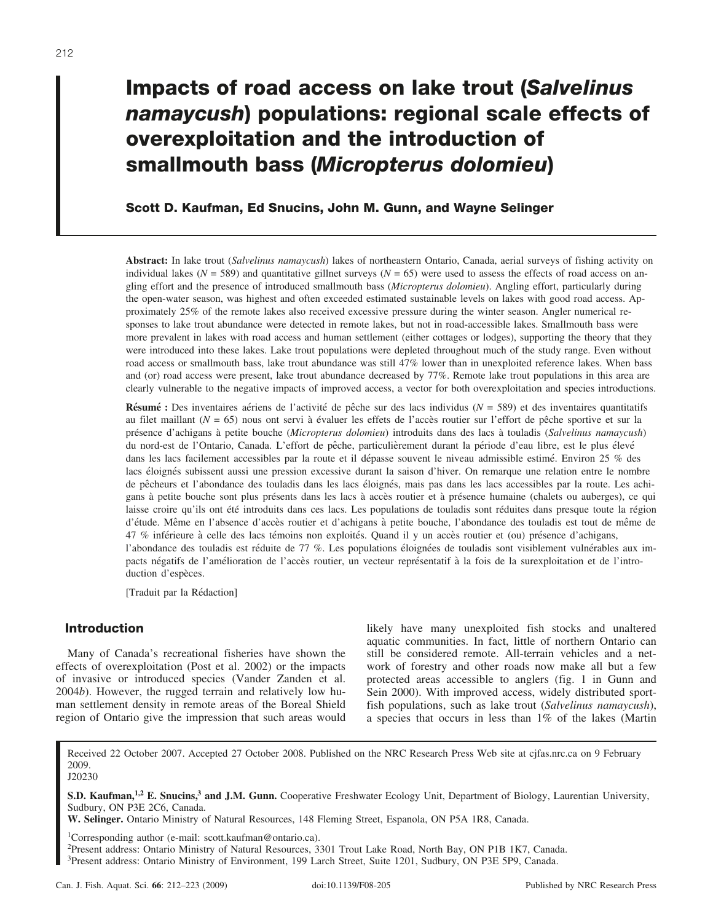# **Impacts of road access on lake trout (***Salvelinus namaycush***) populations: regional scale effects of overexploitation and the introduction of smallmouth bass (***Micropterus dolomieu***)**

## **Scott D. Kaufman, Ed Snucins, John M. Gunn, and Wayne Selinger**

**Abstract:** In lake trout (*Salvelinus namaycush*) lakes of northeastern Ontario, Canada, aerial surveys of fishing activity on individual lakes ( $N = 589$ ) and quantitative gillnet surveys ( $N = 65$ ) were used to assess the effects of road access on angling effort and the presence of introduced smallmouth bass (*Micropterus dolomieu*). Angling effort, particularly during the open-water season, was highest and often exceeded estimated sustainable levels on lakes with good road access. Approximately 25% of the remote lakes also received excessive pressure during the winter season. Angler numerical responses to lake trout abundance were detected in remote lakes, but not in road-accessible lakes. Smallmouth bass were more prevalent in lakes with road access and human settlement (either cottages or lodges), supporting the theory that they were introduced into these lakes. Lake trout populations were depleted throughout much of the study range. Even without road access or smallmouth bass, lake trout abundance was still 47% lower than in unexploited reference lakes. When bass and (or) road access were present, lake trout abundance decreased by 77%. Remote lake trout populations in this area are clearly vulnerable to the negative impacts of improved access, a vector for both overexploitation and species introductions.

**Résumé :** Des inventaires aériens de l'activité de pêche sur des lacs individus ( $N = 589$ ) et des inventaires quantitatifs au filet maillant (*N* = 65) nous ont servi à évaluer les effets de l'accès routier sur l'effort de pêche sportive et sur la pre´sence d'achigans a` petite bouche (*Micropterus dolomieu*) introduits dans des lacs a` touladis (*Salvelinus namaycush*) du nord-est de l'Ontario, Canada. L'effort de pêche, particulièrement durant la période d'eau libre, est le plus élevé dans les lacs facilement accessibles par la route et il dépasse souvent le niveau admissible estimé. Environ 25 % des lacs éloignés subissent aussi une pression excessive durant la saison d'hiver. On remarque une relation entre le nombre de pêcheurs et l'abondance des touladis dans les lacs éloignés, mais pas dans les lacs accessibles par la route. Les achigans à petite bouche sont plus présents dans les lacs à accès routier et à présence humaine (chalets ou auberges), ce qui laisse croire qu'ils ont été introduits dans ces lacs. Les populations de touladis sont réduites dans presque toute la région d'étude. Même en l'absence d'accès routier et d'achigans à petite bouche, l'abondance des touladis est tout de même de 47 % inférieure à celle des lacs témoins non exploités. Quand il y un accès routier et (ou) présence d'achigans, l'abondance des touladis est réduite de 77 %. Les populations éloignées de touladis sont visiblement vulnérables aux impacts négatifs de l'amélioration de l'accès routier, un vecteur représentatif à la fois de la surexploitation et de l'introduction d'espèces.

[Traduit par la Rédaction]

## **Introduction**

Many of Canada's recreational fisheries have shown the effects of overexploitation (Post et al. 2002) or the impacts of invasive or introduced species (Vander Zanden et al. 2004*b*). However, the rugged terrain and relatively low human settlement density in remote areas of the Boreal Shield region of Ontario give the impression that such areas would likely have many unexploited fish stocks and unaltered aquatic communities. In fact, little of northern Ontario can still be considered remote. All-terrain vehicles and a network of forestry and other roads now make all but a few protected areas accessible to anglers (fig. 1 in Gunn and Sein 2000). With improved access, widely distributed sportfish populations, such as lake trout (*Salvelinus namaycush*), a species that occurs in less than 1% of the lakes (Martin

Received 22 October 2007. Accepted 27 October 2008. Published on the NRC Research Press Web site at cjfas.nrc.ca on 9 February 2009. J20230

**S.D. Kaufman,<sup>1,2</sup> E. Snucins,<sup>3</sup> and J.M. Gunn.** Cooperative Freshwater Ecology Unit, Department of Biology, Laurentian University, Sudbury, ON P3E 2C6, Canada.

**W. Selinger.** Ontario Ministry of Natural Resources, 148 Fleming Street, Espanola, ON P5A 1R8, Canada.

1Corresponding author (e-mail: scott.kaufman@ontario.ca).

2Present address: Ontario Ministry of Natural Resources, 3301 Trout Lake Road, North Bay, ON P1B 1K7, Canada. 3Present address: Ontario Ministry of Environment, 199 Larch Street, Suite 1201, Sudbury, ON P3E 5P9, Canada.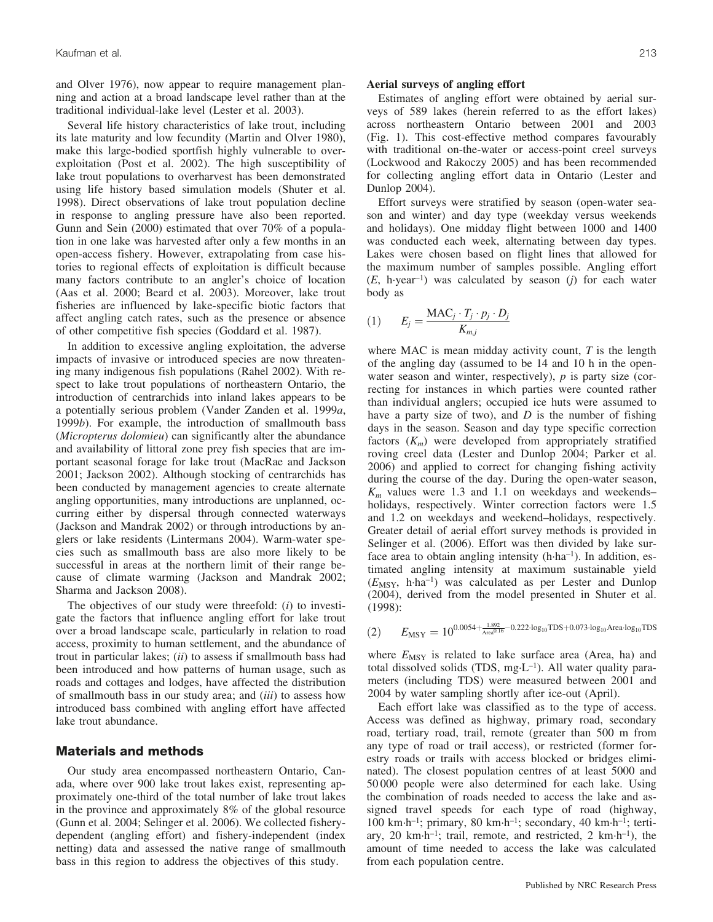and Olver 1976), now appear to require management planning and action at a broad landscape level rather than at the traditional individual-lake level (Lester et al. 2003).

Several life history characteristics of lake trout, including its late maturity and low fecundity (Martin and Olver 1980), make this large-bodied sportfish highly vulnerable to overexploitation (Post et al. 2002). The high susceptibility of lake trout populations to overharvest has been demonstrated using life history based simulation models (Shuter et al. 1998). Direct observations of lake trout population decline in response to angling pressure have also been reported. Gunn and Sein (2000) estimated that over 70% of a population in one lake was harvested after only a few months in an open-access fishery. However, extrapolating from case histories to regional effects of exploitation is difficult because many factors contribute to an angler's choice of location (Aas et al. 2000; Beard et al. 2003). Moreover, lake trout fisheries are influenced by lake-specific biotic factors that affect angling catch rates, such as the presence or absence of other competitive fish species (Goddard et al. 1987).

In addition to excessive angling exploitation, the adverse impacts of invasive or introduced species are now threatening many indigenous fish populations (Rahel 2002). With respect to lake trout populations of northeastern Ontario, the introduction of centrarchids into inland lakes appears to be a potentially serious problem (Vander Zanden et al. 1999*a*, 1999*b*). For example, the introduction of smallmouth bass (*Micropterus dolomieu*) can significantly alter the abundance and availability of littoral zone prey fish species that are important seasonal forage for lake trout (MacRae and Jackson 2001; Jackson 2002). Although stocking of centrarchids has been conducted by management agencies to create alternate angling opportunities, many introductions are unplanned, occurring either by dispersal through connected waterways (Jackson and Mandrak 2002) or through introductions by anglers or lake residents (Lintermans 2004). Warm-water species such as smallmouth bass are also more likely to be successful in areas at the northern limit of their range because of climate warming (Jackson and Mandrak 2002; Sharma and Jackson 2008).

The objectives of our study were threefold: (*i*) to investigate the factors that influence angling effort for lake trout over a broad landscape scale, particularly in relation to road access, proximity to human settlement, and the abundance of trout in particular lakes; (*ii*) to assess if smallmouth bass had been introduced and how patterns of human usage, such as roads and cottages and lodges, have affected the distribution of smallmouth bass in our study area; and (*iii*) to assess how introduced bass combined with angling effort have affected lake trout abundance.

## **Materials and methods**

Our study area encompassed northeastern Ontario, Canada, where over 900 lake trout lakes exist, representing approximately one-third of the total number of lake trout lakes in the province and approximately 8% of the global resource (Gunn et al. 2004; Selinger et al. 2006). We collected fisherydependent (angling effort) and fishery-independent (index netting) data and assessed the native range of smallmouth bass in this region to address the objectives of this study.

#### **Aerial surveys of angling effort**

Estimates of angling effort were obtained by aerial surveys of 589 lakes (herein referred to as the effort lakes) across northeastern Ontario between 2001 and 2003 (Fig. 1). This cost-effective method compares favourably with traditional on-the-water or access-point creel surveys (Lockwood and Rakoczy 2005) and has been recommended for collecting angling effort data in Ontario (Lester and Dunlop 2004).

Effort surveys were stratified by season (open-water season and winter) and day type (weekday versus weekends and holidays). One midday flight between 1000 and 1400 was conducted each week, alternating between day types. Lakes were chosen based on flight lines that allowed for the maximum number of samples possible. Angling effort (*E*, h-year–1) was calculated by season (*j*) for each water body as

$$
(1) \qquad E_j = \frac{\text{MAC}_j \cdot T_j \cdot p_j \cdot D_j}{K_{m,j}}
$$

where MAC is mean midday activity count, *T* is the length of the angling day (assumed to be 14 and 10 h in the openwater season and winter, respectively), *p* is party size (correcting for instances in which parties were counted rather than individual anglers; occupied ice huts were assumed to have a party size of two), and *D* is the number of fishing days in the season. Season and day type specific correction factors (*Km*) were developed from appropriately stratified roving creel data (Lester and Dunlop 2004; Parker et al. 2006) and applied to correct for changing fishing activity during the course of the day. During the open-water season,  $K_m$  values were 1.3 and 1.1 on weekdays and weekends– holidays, respectively. Winter correction factors were 1.5 and 1.2 on weekdays and weekend–holidays, respectively. Greater detail of aerial effort survey methods is provided in Selinger et al. (2006). Effort was then divided by lake surface area to obtain angling intensity (h·ha<sup>-1</sup>). In addition, estimated angling intensity at maximum sustainable yield (*E*MSY, h-ha–1) was calculated as per Lester and Dunlop (2004), derived from the model presented in Shuter et al. (1998):

(2) 
$$
E_{\text{MSY}} = 10^{0.0054 + \frac{1.892}{\text{Area} \cdot 0.6} - 0.222 \cdot \log_{10} \text{TDS} + 0.073 \cdot \log_{10} \text{Area} \cdot \log_{10} \text{TDS}}
$$

where  $E_{\text{MSY}}$  is related to lake surface area (Area, ha) and total dissolved solids (TDS, mg·L<sup>-1</sup>). All water quality parameters (including TDS) were measured between 2001 and 2004 by water sampling shortly after ice-out (April).

Each effort lake was classified as to the type of access. Access was defined as highway, primary road, secondary road, tertiary road, trail, remote (greater than 500 m from any type of road or trail access), or restricted (former forestry roads or trails with access blocked or bridges eliminated). The closest population centres of at least 5000 and 50 000 people were also determined for each lake. Using the combination of roads needed to access the lake and assigned travel speeds for each type of road (highway, 100 km-h–1; primary, 80 km-h–1; secondary, 40 km-h–1; tertiary, 20  $km \cdot h^{-1}$ ; trail, remote, and restricted, 2  $km \cdot h^{-1}$ ), the amount of time needed to access the lake was calculated from each population centre.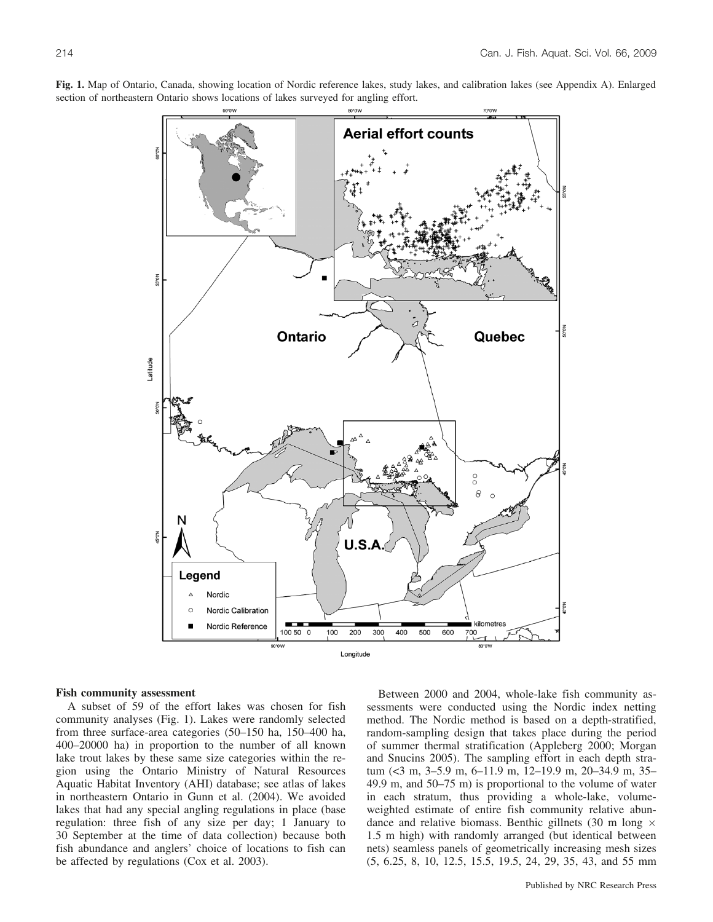

**Fig. 1.** Map of Ontario, Canada, showing location of Nordic reference lakes, study lakes, and calibration lakes (see Appendix A). Enlarged section of northeastern Ontario shows locations of lakes surveyed for angling effort.

## **Fish community assessment**

A subset of 59 of the effort lakes was chosen for fish community analyses (Fig. 1). Lakes were randomly selected from three surface-area categories (50–150 ha, 150–400 ha, 400–20000 ha) in proportion to the number of all known lake trout lakes by these same size categories within the region using the Ontario Ministry of Natural Resources Aquatic Habitat Inventory (AHI) database; see atlas of lakes in northeastern Ontario in Gunn et al. (2004). We avoided lakes that had any special angling regulations in place (base regulation: three fish of any size per day; 1 January to 30 September at the time of data collection) because both fish abundance and anglers' choice of locations to fish can be affected by regulations (Cox et al. 2003).

Between 2000 and 2004, whole-lake fish community assessments were conducted using the Nordic index netting method. The Nordic method is based on a depth-stratified, random-sampling design that takes place during the period of summer thermal stratification (Appleberg 2000; Morgan and Snucins 2005). The sampling effort in each depth stratum (<3 m, 3–5.9 m, 6–11.9 m, 12–19.9 m, 20–34.9 m, 35– 49.9 m, and 50–75 m) is proportional to the volume of water in each stratum, thus providing a whole-lake, volumeweighted estimate of entire fish community relative abundance and relative biomass. Benthic gillnets (30 m long  $\times$ 1.5 m high) with randomly arranged (but identical between nets) seamless panels of geometrically increasing mesh sizes (5, 6.25, 8, 10, 12.5, 15.5, 19.5, 24, 29, 35, 43, and 55 mm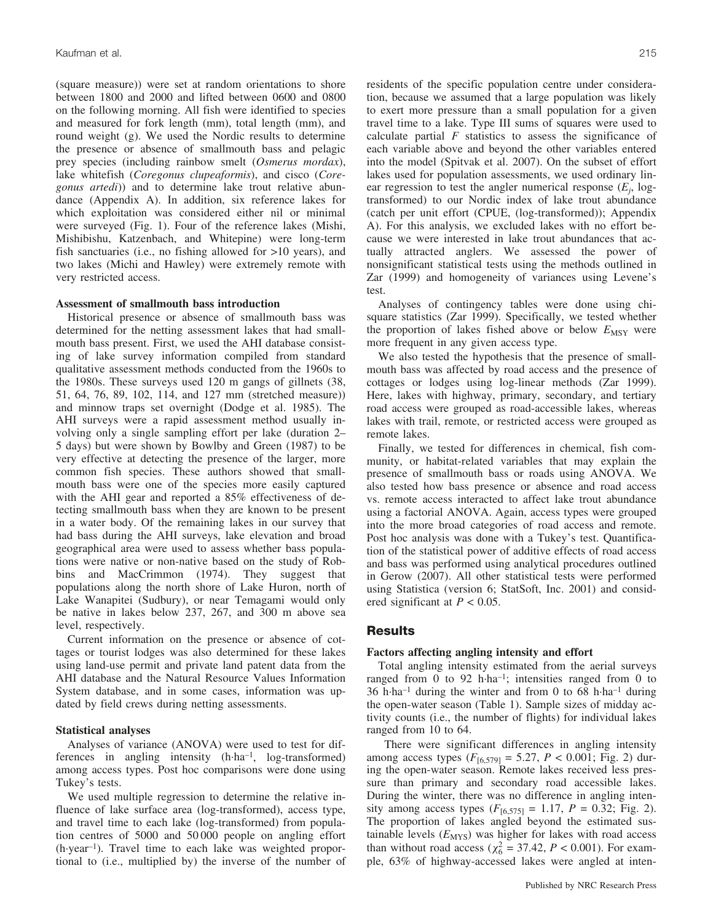(square measure)) were set at random orientations to shore between 1800 and 2000 and lifted between 0600 and 0800 on the following morning. All fish were identified to species and measured for fork length (mm), total length (mm), and round weight (g). We used the Nordic results to determine the presence or absence of smallmouth bass and pelagic prey species (including rainbow smelt (*Osmerus mordax*), lake whitefish (*Coregonus clupeaformis*), and cisco (*Coregonus artedi*)) and to determine lake trout relative abundance (Appendix A). In addition, six reference lakes for which exploitation was considered either nil or minimal were surveyed (Fig. 1). Four of the reference lakes (Mishi, Mishibishu, Katzenbach, and Whitepine) were long-term fish sanctuaries (i.e., no fishing allowed for >10 years), and two lakes (Michi and Hawley) were extremely remote with very restricted access.

#### **Assessment of smallmouth bass introduction**

Historical presence or absence of smallmouth bass was determined for the netting assessment lakes that had smallmouth bass present. First, we used the AHI database consisting of lake survey information compiled from standard qualitative assessment methods conducted from the 1960s to the 1980s. These surveys used 120 m gangs of gillnets (38, 51, 64, 76, 89, 102, 114, and 127 mm (stretched measure)) and minnow traps set overnight (Dodge et al. 1985). The AHI surveys were a rapid assessment method usually involving only a single sampling effort per lake (duration 2– 5 days) but were shown by Bowlby and Green (1987) to be very effective at detecting the presence of the larger, more common fish species. These authors showed that smallmouth bass were one of the species more easily captured with the AHI gear and reported a 85% effectiveness of detecting smallmouth bass when they are known to be present in a water body. Of the remaining lakes in our survey that had bass during the AHI surveys, lake elevation and broad geographical area were used to assess whether bass populations were native or non-native based on the study of Robbins and MacCrimmon (1974). They suggest that populations along the north shore of Lake Huron, north of Lake Wanapitei (Sudbury), or near Temagami would only be native in lakes below 237, 267, and 300 m above sea level, respectively.

Current information on the presence or absence of cottages or tourist lodges was also determined for these lakes using land-use permit and private land patent data from the AHI database and the Natural Resource Values Information System database, and in some cases, information was updated by field crews during netting assessments.

#### **Statistical analyses**

Analyses of variance (ANOVA) were used to test for differences in angling intensity (h-ha–1, log-transformed) among access types. Post hoc comparisons were done using Tukey's tests.

We used multiple regression to determine the relative influence of lake surface area (log-transformed), access type, and travel time to each lake (log-transformed) from population centres of 5000 and 50 000 people on angling effort (h-year–1). Travel time to each lake was weighted proportional to (i.e., multiplied by) the inverse of the number of residents of the specific population centre under consideration, because we assumed that a large population was likely to exert more pressure than a small population for a given travel time to a lake. Type III sums of squares were used to calculate partial *F* statistics to assess the significance of each variable above and beyond the other variables entered into the model (Spitvak et al. 2007). On the subset of effort lakes used for population assessments, we used ordinary linear regression to test the angler numerical response  $(E_i, \text{log}$ transformed) to our Nordic index of lake trout abundance (catch per unit effort (CPUE, (log-transformed)); Appendix A). For this analysis, we excluded lakes with no effort because we were interested in lake trout abundances that actually attracted anglers. We assessed the power of nonsignificant statistical tests using the methods outlined in Zar (1999) and homogeneity of variances using Levene's test.

Analyses of contingency tables were done using chisquare statistics (Zar 1999). Specifically, we tested whether the proportion of lakes fished above or below  $E_{\text{MSY}}$  were more frequent in any given access type.

We also tested the hypothesis that the presence of smallmouth bass was affected by road access and the presence of cottages or lodges using log-linear methods (Zar 1999). Here, lakes with highway, primary, secondary, and tertiary road access were grouped as road-accessible lakes, whereas lakes with trail, remote, or restricted access were grouped as remote lakes.

Finally, we tested for differences in chemical, fish community, or habitat-related variables that may explain the presence of smallmouth bass or roads using ANOVA. We also tested how bass presence or absence and road access vs. remote access interacted to affect lake trout abundance using a factorial ANOVA. Again, access types were grouped into the more broad categories of road access and remote. Post hoc analysis was done with a Tukey's test. Quantification of the statistical power of additive effects of road access and bass was performed using analytical procedures outlined in Gerow (2007). All other statistical tests were performed using Statistica (version 6; StatSoft, Inc. 2001) and considered significant at *P* < 0.05.

#### **Results**

#### **Factors affecting angling intensity and effort**

Total angling intensity estimated from the aerial surveys ranged from 0 to 92 h·ha<sup>-1</sup>; intensities ranged from 0 to 36 h-ha–1 during the winter and from 0 to 68 h-ha–1 during the open-water season (Table 1). Sample sizes of midday activity counts (i.e., the number of flights) for individual lakes ranged from 10 to 64.

There were significant differences in angling intensity among access types  $(F_{[6,579]} = 5.27, P < 0.001;$  Fig. 2) during the open-water season. Remote lakes received less pressure than primary and secondary road accessible lakes. During the winter, there was no difference in angling intensity among access types  $(F_{[6,575]} = 1.17, P = 0.32;$  Fig. 2). The proportion of lakes angled beyond the estimated sustainable levels  $(E_{\text{MYS}})$  was higher for lakes with road access than without road access ( $\chi^2_6 = 37.42$ ,  $P < 0.001$ ). For example, 63% of highway-accessed lakes were angled at inten-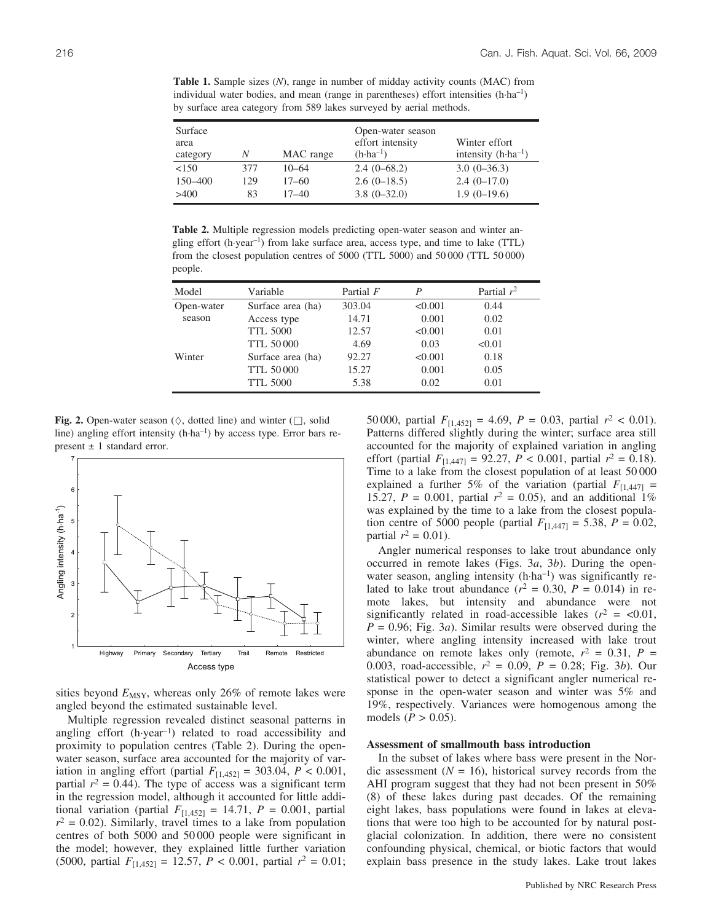**Table 1.** Sample sizes (*N*), range in number of midday activity counts (MAC) from individual water bodies, and mean (range in parentheses) effort intensities  $(h·ha^{-1})$ by surface area category from 589 lakes surveyed by aerial methods.

| Surface<br>area<br>category | Ν   | MAC range | Open-water season<br>effort intensity<br>$(h \cdot ha^{-1})$ | Winter effort<br>intensity $(h \cdot ha^{-1})$ |
|-----------------------------|-----|-----------|--------------------------------------------------------------|------------------------------------------------|
| < 150                       | 377 | $10 - 64$ | $2.4(0-68.2)$                                                | $3.0(0-36.3)$                                  |
| 150–400                     | 129 | $17 - 60$ | $2.6(0-18.5)$                                                | $2.4(0-17.0)$                                  |
| >400                        | 83  | $17 - 40$ | $3.8(0-32.0)$                                                | $1.9(0-19.6)$                                  |

**Table 2.** Multiple regression models predicting open-water season and winter angling effort (h-year–1) from lake surface area, access type, and time to lake (TTL) from the closest population centres of 5000 (TTL 5000) and 50 000 (TTL 50 000) people.

| Model      | Variable          | Partial $F$ | P       | Partial $r^2$ |
|------------|-------------------|-------------|---------|---------------|
| Open-water | Surface area (ha) | 303.04      | < 0.001 | 0.44          |
| season     | Access type       | 14.71       | 0.001   | 0.02          |
|            | <b>TTL 5000</b>   | 12.57       | < 0.001 | 0.01          |
|            | <b>TTL 50000</b>  | 4.69        | 0.03    | < 0.01        |
| Winter     | Surface area (ha) | 92.27       | < 0.001 | 0.18          |
|            | <b>TTL 50000</b>  | 15.27       | 0.001   | 0.05          |
|            | <b>TTL 5000</b>   | 5.38        | 0.02    | 0.01          |

**Fig. 2.** Open-water season ( $\Diamond$ , dotted line) and winter ( $\Box$ , solid line) angling effort intensity (h·ha<sup>-1</sup>) by access type. Error bars represent  $\pm$  1 standard error.



sities beyond  $E_{\text{MSY}}$ , whereas only 26% of remote lakes were angled beyond the estimated sustainable level.

Multiple regression revealed distinct seasonal patterns in angling effort (h-year–1) related to road accessibility and proximity to population centres (Table 2). During the openwater season, surface area accounted for the majority of variation in angling effort (partial  $F_{[1,452]} = 303.04, P < 0.001,$ partial  $r^2 = 0.44$ ). The type of access was a significant term in the regression model, although it accounted for little additional variation (partial  $F_{[1,452]} = 14.71$ ,  $P = 0.001$ , partial  $r^2$  = 0.02). Similarly, travel times to a lake from population centres of both 5000 and 50 000 people were significant in the model; however, they explained little further variation (5000, partial  $F_{[1,452]} = 12.57$ ,  $P < 0.001$ , partial  $r^2 = 0.01$ ; 50 000, partial  $F_{[1,452]} = 4.69$ ,  $P = 0.03$ , partial  $r^2 < 0.01$ ). Patterns differed slightly during the winter; surface area still accounted for the majority of explained variation in angling effort (partial  $F_{[1,447]} = 92.27$ ,  $P < 0.001$ , partial  $r^2 = 0.18$ ). Time to a lake from the closest population of at least 50 000 explained a further 5% of the variation (partial  $F_{11,4471}$  = 15.27,  $P = 0.001$ , partial  $r^2 = 0.05$ ), and an additional 1% was explained by the time to a lake from the closest population centre of 5000 people (partial  $F_{[1,447]} = 5.38, P = 0.02,$ partial  $r^2 = 0.01$ ).

Angler numerical responses to lake trout abundance only occurred in remote lakes (Figs. 3*a*, 3*b*). During the openwater season, angling intensity (h·ha<sup>-1</sup>) was significantly related to lake trout abundance  $(r^2 = 0.30, P = 0.014)$  in remote lakes, but intensity and abundance were not significantly related in road-accessible lakes  $(r^2 = \langle 0.01,$  $P = 0.96$ ; Fig. 3*a*). Similar results were observed during the winter, where angling intensity increased with lake trout abundance on remote lakes only (remote,  $r^2 = 0.31$ ,  $P =$ 0.003, road-accessible, *r*<sup>2</sup> = 0.09, *P* = 0.28; Fig. 3*b*). Our statistical power to detect a significant angler numerical response in the open-water season and winter was 5% and 19%, respectively. Variances were homogenous among the models ( $P > 0.05$ ).

#### **Assessment of smallmouth bass introduction**

In the subset of lakes where bass were present in the Nordic assessment  $(N = 16)$ , historical survey records from the AHI program suggest that they had not been present in 50% (8) of these lakes during past decades. Of the remaining eight lakes, bass populations were found in lakes at elevations that were too high to be accounted for by natural postglacial colonization. In addition, there were no consistent confounding physical, chemical, or biotic factors that would explain bass presence in the study lakes. Lake trout lakes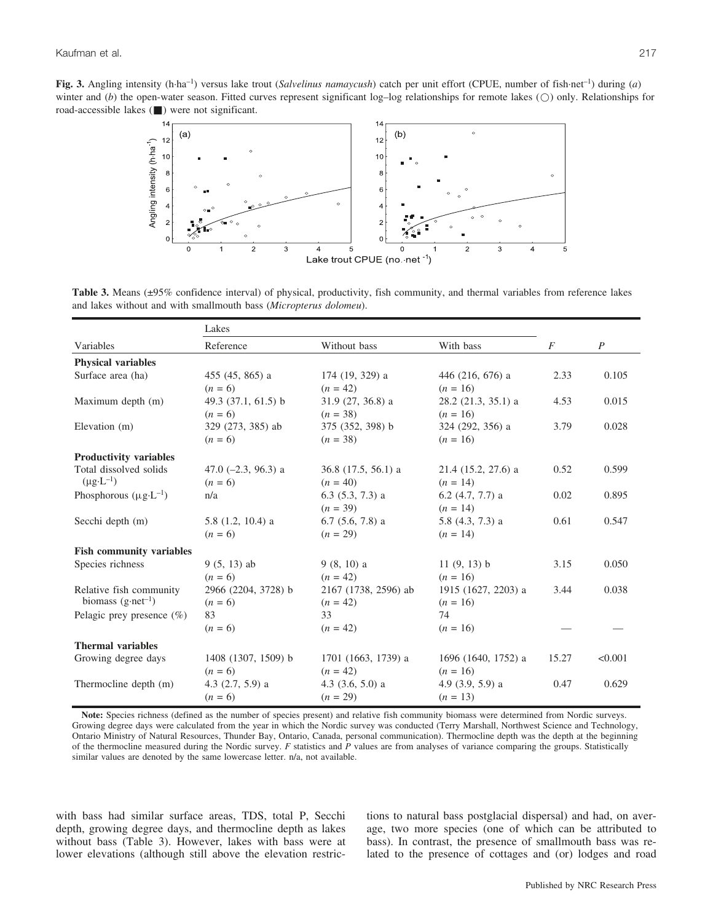Fig. 3. Angling intensity (h-ha<sup>-1</sup>) versus lake trout (*Salvelinus namaycush*) catch per unit effort (CPUE, number of fish-net<sup>-1</sup>) during (*a*) winter and (*b*) the open-water season. Fitted curves represent significant log–log relationships for remote lakes ( $\circ$ ) only. Relationships for road-accessible lakes  $(\blacksquare)$  were not significant.



Table 3. Means (±95% confidence interval) of physical, productivity, fish community, and thermal variables from reference lakes and lakes without and with smallmouth bass (*Micropterus dolomeu*).

|                                    | Lakes                 |                       |                       |                |                  |  |
|------------------------------------|-----------------------|-----------------------|-----------------------|----------------|------------------|--|
| Variables                          | Reference             | Without bass          | With bass             | $\overline{F}$ | $\boldsymbol{P}$ |  |
| <b>Physical variables</b>          |                       |                       |                       |                |                  |  |
| Surface area (ha)                  | 455 (45, 865) a       | 174 (19, 329) a       | 446 (216, 676) a      | 2.33           | 0.105            |  |
|                                    | $(n = 6)$             | $(n = 42)$            | $(n = 16)$            |                |                  |  |
| Maximum depth (m)                  | 49.3 (37.1, 61.5) b   | $31.9(27, 36.8)$ a    | $28.2$ (21.3, 35.1) a | 4.53           | 0.015            |  |
|                                    | $(n = 6)$             | $(n = 38)$            | $(n = 16)$            |                |                  |  |
| Elevation (m)                      | 329 (273, 385) ab     | 375 (352, 398) b      | 324 (292, 356) a      | 3.79           | 0.028            |  |
|                                    | $(n = 6)$             | $(n = 38)$            | $(n = 16)$            |                |                  |  |
| <b>Productivity variables</b>      |                       |                       |                       |                |                  |  |
| Total dissolved solids             | 47.0 $(-2.3, 96.3)$ a | $36.8$ (17.5, 56.1) a | $21.4$ (15.2, 27.6) a | 0.52           | 0.599            |  |
| $(\mu g \cdot L^{-1})$             | $(n = 6)$             | $(n = 40)$            | $(n = 14)$            |                |                  |  |
| Phosphorous $(\mu g \cdot L^{-1})$ | n/a                   | $6.3(5.3, 7.3)$ a     | $6.2$ (4.7, 7.7) a    | 0.02           | 0.895            |  |
|                                    |                       | $(n = 39)$            | $(n = 14)$            |                |                  |  |
| Secchi depth (m)                   | $5.8(1.2, 10.4)$ a    | $6.7$ $(5.6, 7.8)$ a  | $5.8$ (4.3, 7.3) a    | 0.61           | 0.547            |  |
|                                    | $(n = 6)$             | $(n = 29)$            | $(n = 14)$            |                |                  |  |
| <b>Fish community variables</b>    |                       |                       |                       |                |                  |  |
| Species richness                   | $9(5, 13)$ ab         | $9(8, 10)$ a          | 11(9, 13) b           | 3.15           | 0.050            |  |
|                                    | $(n = 6)$             | $(n = 42)$            | $(n = 16)$            |                |                  |  |
| Relative fish community            | 2966 (2204, 3728) b   | 2167 (1738, 2596) ab  | 1915 (1627, 2203) a   | 3.44           | 0.038            |  |
| biomass $(g \cdot net^{-1})$       | $(n = 6)$             | $(n = 42)$            | $(n = 16)$            |                |                  |  |
| Pelagic prey presence $(\%)$       | 83                    | 33                    | 74                    |                |                  |  |
|                                    | $(n = 6)$             | $(n = 42)$            | $(n = 16)$            |                |                  |  |
| <b>Thermal variables</b>           |                       |                       |                       |                |                  |  |
| Growing degree days                | 1408 (1307, 1509) b   | 1701 (1663, 1739) a   | 1696 (1640, 1752) a   | 15.27          | < 0.001          |  |
|                                    | $(n = 6)$             | $(n = 42)$            | $(n = 16)$            |                |                  |  |
| Thermocline depth (m)              | 4.3 $(2.7, 5.9)$ a    | 4.3 $(3.6, 5.0)$ a    | 4.9 $(3.9, 5.9)$ a    | 0.47           | 0.629            |  |
|                                    | $(n = 6)$             | $(n = 29)$            | $(n = 13)$            |                |                  |  |

Note: Species richness (defined as the number of species present) and relative fish community biomass were determined from Nordic surveys. Growing degree days were calculated from the year in which the Nordic survey was conducted (Terry Marshall, Northwest Science and Technology, Ontario Ministry of Natural Resources, Thunder Bay, Ontario, Canada, personal communication). Thermocline depth was the depth at the beginning of the thermocline measured during the Nordic survey. *F* statistics and *P* values are from analyses of variance comparing the groups. Statistically similar values are denoted by the same lowercase letter. n/a, not available.

with bass had similar surface areas, TDS, total P, Secchi depth, growing degree days, and thermocline depth as lakes without bass (Table 3). However, lakes with bass were at lower elevations (although still above the elevation restrictions to natural bass postglacial dispersal) and had, on average, two more species (one of which can be attributed to bass). In contrast, the presence of smallmouth bass was related to the presence of cottages and (or) lodges and road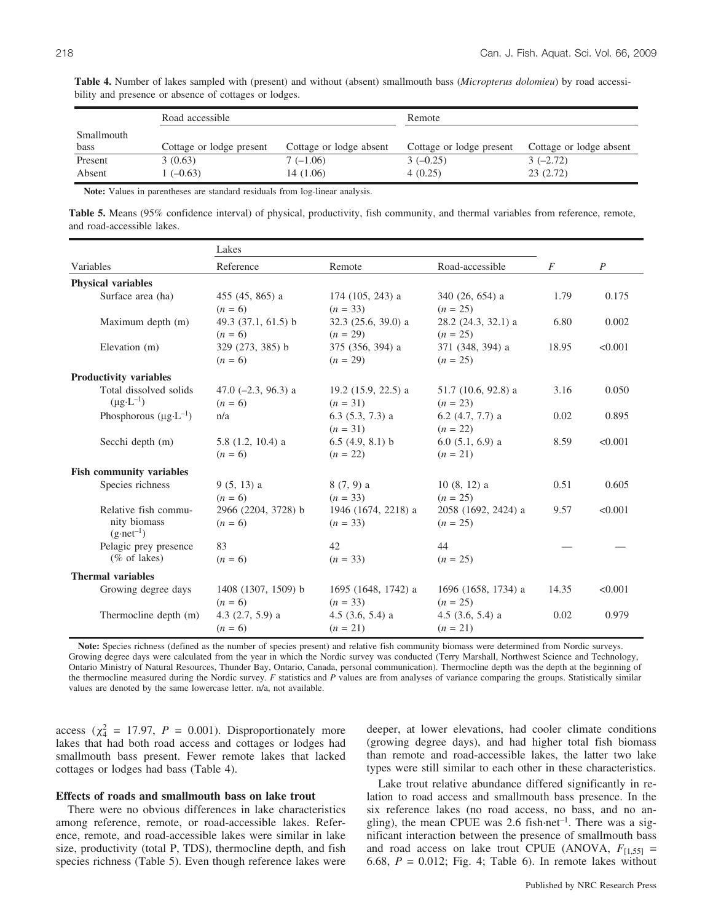|                    | Road accessible          |                         | Remote                   |                         |  |
|--------------------|--------------------------|-------------------------|--------------------------|-------------------------|--|
| Smallmouth<br>bass | Cottage or lodge present | Cottage or lodge absent | Cottage or lodge present | Cottage or lodge absent |  |
| Present            | 3(0.63)                  | $7(-1.06)$              | $3(-0.25)$               | $3(-2.72)$              |  |
| Absent             | $1(-0.63)$               | 14 (1.06)               | 4(0.25)                  | 23(2.72)                |  |

**Table 4.** Number of lakes sampled with (present) and without (absent) smallmouth bass (*Micropterus dolomieu*) by road accessibility and presence or absence of cottages or lodges.

**Note:** Values in parentheses are standard residuals from log-linear analysis.

**Table 5.** Means (95% confidence interval) of physical, productivity, fish community, and thermal variables from reference, remote, and road-accessible lakes.

|                                      | Lakes                 |                       |                       |       |                |
|--------------------------------------|-----------------------|-----------------------|-----------------------|-------|----------------|
| Variables                            | Reference             | Remote                | Road-accessible       | F     | $\overline{P}$ |
| <b>Physical variables</b>            |                       |                       |                       |       |                |
| Surface area (ha)                    | 455 (45, 865) a       | $174(105, 243)$ a     | $340(26, 654)$ a      | 1.79  | 0.175          |
|                                      | $(n = 6)$             | $(n = 33)$            | $(n = 25)$            |       |                |
| Maximum depth (m)                    | 49.3 $(37.1, 61.5)$ b | 32.3 (25.6, 39.0) a   | 28.2 (24.3, 32.1) a   | 6.80  | 0.002          |
|                                      | $(n = 6)$             | $(n = 29)$            | $(n = 25)$            |       |                |
| Elevation (m)                        | 329 (273, 385) b      | 375 (356, 394) a      | 371 (348, 394) a      | 18.95 | < 0.001        |
|                                      | $(n = 6)$             | $(n = 29)$            | $(n = 25)$            |       |                |
| <b>Productivity variables</b>        |                       |                       |                       |       |                |
| Total dissolved solids               | 47.0 $(-2.3, 96.3)$ a | 19.2 $(15.9, 22.5)$ a | $51.7$ (10.6, 92.8) a | 3.16  | 0.050          |
| $(\mu g \cdot L^{-1})$               | $(n = 6)$             | $(n = 31)$            | $(n = 23)$            |       |                |
| Phosphorous $(\mu g \cdot L^{-1})$   | n/a                   | $6.3(5.3, 7.3)$ a     | $6.2$ (4.7, 7.7) a    | 0.02  | 0.895          |
|                                      |                       | $(n = 31)$            | $(n = 22)$            |       |                |
| Secchi depth (m)                     | $5.8$ (1.2, 10.4) a   | $6.5(4.9, 8.1)$ b     | $6.0(5.1, 6.9)$ a     | 8.59  | < 0.001        |
|                                      | $(n = 6)$             | $(n = 22)$            | $(n = 21)$            |       |                |
| <b>Fish community variables</b>      |                       |                       |                       |       |                |
| Species richness                     | $9(5, 13)$ a          | $8(7, 9)$ a           | $10(8, 12)$ a         | 0.51  | 0.605          |
|                                      | $(n = 6)$             | $(n = 33)$            | $(n = 25)$            |       |                |
| Relative fish commu-                 | 2966 (2204, 3728) b   | 1946 (1674, 2218) a   | 2058 (1692, 2424) a   | 9.57  | < 0.001        |
| nity biomass<br>$(g \cdot net^{-1})$ | $(n = 6)$             | $(n = 33)$            | $(n = 25)$            |       |                |
| Pelagic prey presence                | 83                    | 42                    | 44                    |       |                |
| (% of lakes)                         | $(n = 6)$             | $(n = 33)$            | $(n = 25)$            |       |                |
| <b>Thermal variables</b>             |                       |                       |                       |       |                |
| Growing degree days                  | 1408 (1307, 1509) b   | 1695 (1648, 1742) a   | 1696 (1658, 1734) a   | 14.35 | < 0.001        |
|                                      | $(n = 6)$             | $(n = 33)$            | $(n = 25)$            |       |                |
| Thermocline depth (m)                | 4.3 $(2.7, 5.9)$ a    | 4.5 $(3.6, 5.4)$ a    | 4.5 $(3.6, 5.4)$ a    | 0.02  | 0.979          |
|                                      | $(n = 6)$             | $(n = 21)$            | $(n = 21)$            |       |                |
|                                      |                       |                       |                       |       |                |

**Note:** Species richness (defined as the number of species present) and relative fish community biomass were determined from Nordic surveys. Growing degree days were calculated from the year in which the Nordic survey was conducted (Terry Marshall, Northwest Science and Technology, Ontario Ministry of Natural Resources, Thunder Bay, Ontario, Canada, personal communication). Thermocline depth was the depth at the beginning of the thermocline measured during the Nordic survey. *F* statistics and *P* values are from analyses of variance comparing the groups. Statistically similar values are denoted by the same lowercase letter. n/a, not available.

access ( $\chi^2$  = 17.97, *P* = 0.001). Disproportionately more lakes that had both road access and cottages or lodges had smallmouth bass present. Fewer remote lakes that lacked cottages or lodges had bass (Table 4).

#### **Effects of roads and smallmouth bass on lake trout**

There were no obvious differences in lake characteristics among reference, remote, or road-accessible lakes. Reference, remote, and road-accessible lakes were similar in lake size, productivity (total P, TDS), thermocline depth, and fish species richness (Table 5). Even though reference lakes were deeper, at lower elevations, had cooler climate conditions (growing degree days), and had higher total fish biomass than remote and road-accessible lakes, the latter two lake types were still similar to each other in these characteristics.

Lake trout relative abundance differed significantly in relation to road access and smallmouth bass presence. In the six reference lakes (no road access, no bass, and no angling), the mean CPUE was 2.6 fish-net<sup>-1</sup>. There was a significant interaction between the presence of smallmouth bass and road access on lake trout CPUE (ANOVA,  $F_{[1,55]}$  = 6.68,  $P = 0.012$ ; Fig. 4; Table 6). In remote lakes without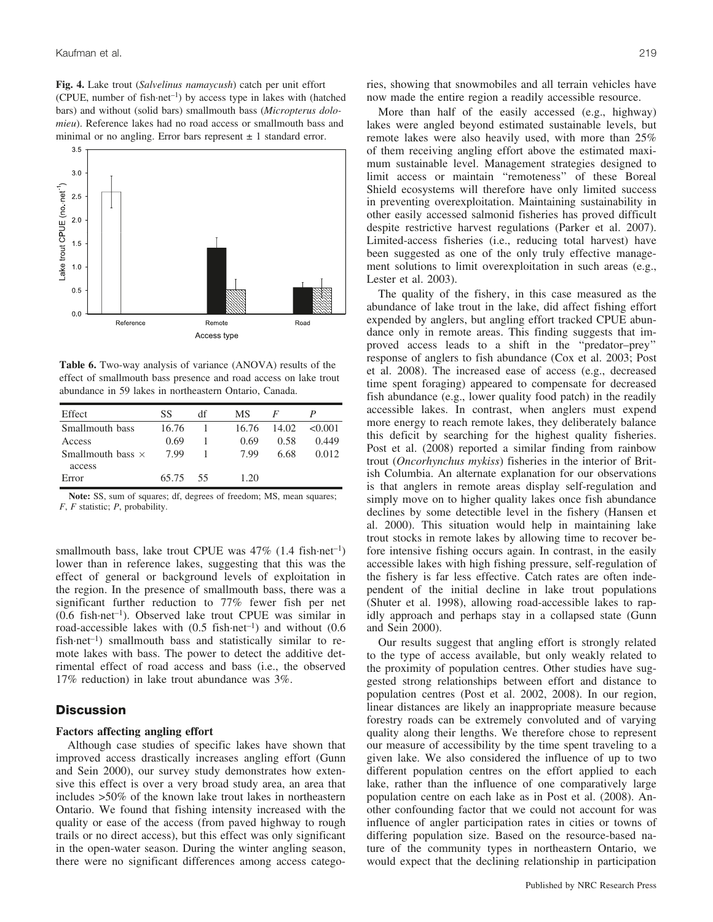**Fig. 4.** Lake trout (*Salvelinus namaycush*) catch per unit effort (CPUE, number of fish-net–1) by access type in lakes with (hatched bars) and without (solid bars) smallmouth bass (*Micropterus dolomieu*). Reference lakes had no road access or smallmouth bass and minimal or no angling. Error bars represent  $\pm$  1 standard error.



**Table 6.** Two-way analysis of variance (ANOVA) results of the effect of smallmouth bass presence and road access on lake trout abundance in 59 lakes in northeastern Ontario, Canada.

| Effect                   | SS    | df | МS    | F     |        |
|--------------------------|-------|----|-------|-------|--------|
| Smallmouth bass          | 16.76 |    | 16.76 | 14.02 | <0.001 |
| Access                   | 0.69  |    | 0.69  | 0.58  | 0.449  |
| Smallmouth bass $\times$ | 7.99  |    | 7.99  | 6.68  | 0.012  |
| access                   |       |    |       |       |        |
| Error                    | 65.75 | 55 | 1.20  |       |        |

**Note:** SS, sum of squares; df, degrees of freedom; MS, mean squares; *F*, *F* statistic; *P*, probability.

smallmouth bass, lake trout CPUE was 47% (1.4 fish-net<sup>-1</sup>) lower than in reference lakes, suggesting that this was the effect of general or background levels of exploitation in the region. In the presence of smallmouth bass, there was a significant further reduction to 77% fewer fish per net (0.6 fish-net–1). Observed lake trout CPUE was similar in road-accessible lakes with (0.5 fish-net–1) and without (0.6 fish-net<sup>-1</sup>) smallmouth bass and statistically similar to remote lakes with bass. The power to detect the additive detrimental effect of road access and bass (i.e., the observed 17% reduction) in lake trout abundance was 3%.

## **Discussion**

### **Factors affecting angling effort**

Although case studies of specific lakes have shown that improved access drastically increases angling effort (Gunn and Sein 2000), our survey study demonstrates how extensive this effect is over a very broad study area, an area that includes >50% of the known lake trout lakes in northeastern Ontario. We found that fishing intensity increased with the quality or ease of the access (from paved highway to rough trails or no direct access), but this effect was only significant in the open-water season. During the winter angling season, there were no significant differences among access categories, showing that snowmobiles and all terrain vehicles have now made the entire region a readily accessible resource.

More than half of the easily accessed (e.g., highway) lakes were angled beyond estimated sustainable levels, but remote lakes were also heavily used, with more than 25% of them receiving angling effort above the estimated maximum sustainable level. Management strategies designed to limit access or maintain ''remoteness'' of these Boreal Shield ecosystems will therefore have only limited success in preventing overexploitation. Maintaining sustainability in other easily accessed salmonid fisheries has proved difficult despite restrictive harvest regulations (Parker et al. 2007). Limited-access fisheries (i.e., reducing total harvest) have been suggested as one of the only truly effective management solutions to limit overexploitation in such areas (e.g., Lester et al. 2003).

The quality of the fishery, in this case measured as the abundance of lake trout in the lake, did affect fishing effort expended by anglers, but angling effort tracked CPUE abundance only in remote areas. This finding suggests that improved access leads to a shift in the ''predator–prey'' response of anglers to fish abundance (Cox et al. 2003; Post et al. 2008). The increased ease of access (e.g., decreased time spent foraging) appeared to compensate for decreased fish abundance (e.g., lower quality food patch) in the readily accessible lakes. In contrast, when anglers must expend more energy to reach remote lakes, they deliberately balance this deficit by searching for the highest quality fisheries. Post et al. (2008) reported a similar finding from rainbow trout (*Oncorhynchus mykiss*) fisheries in the interior of British Columbia. An alternate explanation for our observations is that anglers in remote areas display self-regulation and simply move on to higher quality lakes once fish abundance declines by some detectible level in the fishery (Hansen et al. 2000). This situation would help in maintaining lake trout stocks in remote lakes by allowing time to recover before intensive fishing occurs again. In contrast, in the easily accessible lakes with high fishing pressure, self-regulation of the fishery is far less effective. Catch rates are often independent of the initial decline in lake trout populations (Shuter et al. 1998), allowing road-accessible lakes to rapidly approach and perhaps stay in a collapsed state (Gunn and Sein 2000).

Our results suggest that angling effort is strongly related to the type of access available, but only weakly related to the proximity of population centres. Other studies have suggested strong relationships between effort and distance to population centres (Post et al. 2002, 2008). In our region, linear distances are likely an inappropriate measure because forestry roads can be extremely convoluted and of varying quality along their lengths. We therefore chose to represent our measure of accessibility by the time spent traveling to a given lake. We also considered the influence of up to two different population centres on the effort applied to each lake, rather than the influence of one comparatively large population centre on each lake as in Post et al. (2008). Another confounding factor that we could not account for was influence of angler participation rates in cities or towns of differing population size. Based on the resource-based nature of the community types in northeastern Ontario, we would expect that the declining relationship in participation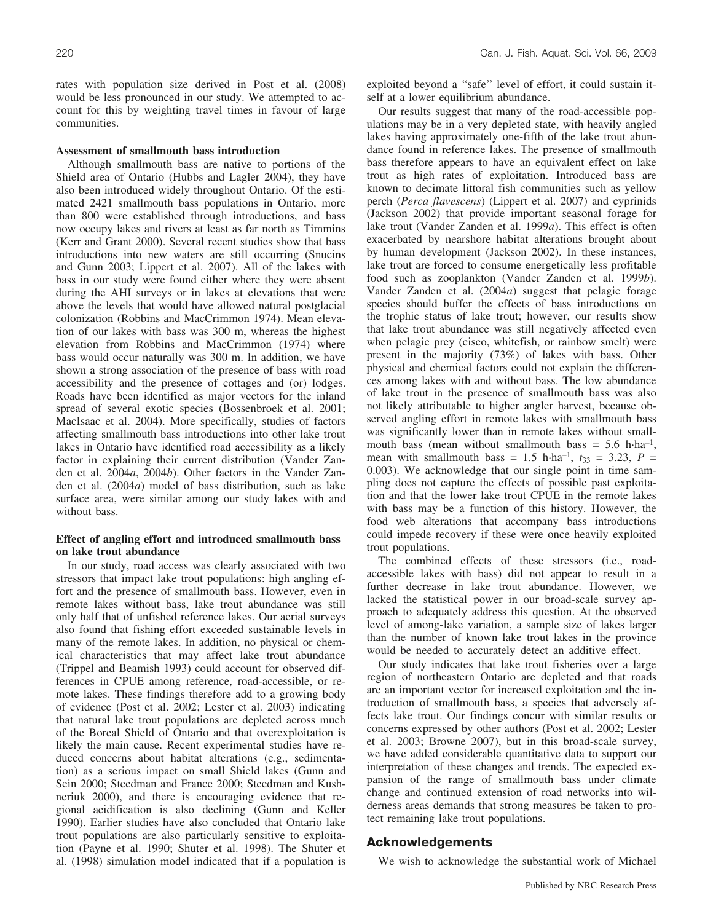rates with population size derived in Post et al. (2008) would be less pronounced in our study. We attempted to account for this by weighting travel times in favour of large communities.

#### **Assessment of smallmouth bass introduction**

Although smallmouth bass are native to portions of the Shield area of Ontario (Hubbs and Lagler 2004), they have also been introduced widely throughout Ontario. Of the estimated 2421 smallmouth bass populations in Ontario, more than 800 were established through introductions, and bass now occupy lakes and rivers at least as far north as Timmins (Kerr and Grant 2000). Several recent studies show that bass introductions into new waters are still occurring (Snucins and Gunn 2003; Lippert et al. 2007). All of the lakes with bass in our study were found either where they were absent during the AHI surveys or in lakes at elevations that were above the levels that would have allowed natural postglacial colonization (Robbins and MacCrimmon 1974). Mean elevation of our lakes with bass was 300 m, whereas the highest elevation from Robbins and MacCrimmon (1974) where bass would occur naturally was 300 m. In addition, we have shown a strong association of the presence of bass with road accessibility and the presence of cottages and (or) lodges. Roads have been identified as major vectors for the inland spread of several exotic species (Bossenbroek et al. 2001; MacIsaac et al. 2004). More specifically, studies of factors affecting smallmouth bass introductions into other lake trout lakes in Ontario have identified road accessibility as a likely factor in explaining their current distribution (Vander Zanden et al. 2004*a*, 2004*b*). Other factors in the Vander Zanden et al. (2004*a*) model of bass distribution, such as lake surface area, were similar among our study lakes with and without bass.

#### **Effect of angling effort and introduced smallmouth bass on lake trout abundance**

In our study, road access was clearly associated with two stressors that impact lake trout populations: high angling effort and the presence of smallmouth bass. However, even in remote lakes without bass, lake trout abundance was still only half that of unfished reference lakes. Our aerial surveys also found that fishing effort exceeded sustainable levels in many of the remote lakes. In addition, no physical or chemical characteristics that may affect lake trout abundance (Trippel and Beamish 1993) could account for observed differences in CPUE among reference, road-accessible, or remote lakes. These findings therefore add to a growing body of evidence (Post et al. 2002; Lester et al. 2003) indicating that natural lake trout populations are depleted across much of the Boreal Shield of Ontario and that overexploitation is likely the main cause. Recent experimental studies have reduced concerns about habitat alterations (e.g., sedimentation) as a serious impact on small Shield lakes (Gunn and Sein 2000; Steedman and France 2000; Steedman and Kushneriuk 2000), and there is encouraging evidence that regional acidification is also declining (Gunn and Keller 1990). Earlier studies have also concluded that Ontario lake trout populations are also particularly sensitive to exploitation (Payne et al. 1990; Shuter et al. 1998). The Shuter et al. (1998) simulation model indicated that if a population is exploited beyond a ''safe'' level of effort, it could sustain itself at a lower equilibrium abundance.

Our results suggest that many of the road-accessible populations may be in a very depleted state, with heavily angled lakes having approximately one-fifth of the lake trout abundance found in reference lakes. The presence of smallmouth bass therefore appears to have an equivalent effect on lake trout as high rates of exploitation. Introduced bass are known to decimate littoral fish communities such as yellow perch (*Perca flavescens*) (Lippert et al. 2007) and cyprinids (Jackson 2002) that provide important seasonal forage for lake trout (Vander Zanden et al. 1999*a*). This effect is often exacerbated by nearshore habitat alterations brought about by human development (Jackson 2002). In these instances, lake trout are forced to consume energetically less profitable food such as zooplankton (Vander Zanden et al. 1999*b*). Vander Zanden et al. (2004*a*) suggest that pelagic forage species should buffer the effects of bass introductions on the trophic status of lake trout; however, our results show that lake trout abundance was still negatively affected even when pelagic prey (cisco, whitefish, or rainbow smelt) were present in the majority (73%) of lakes with bass. Other physical and chemical factors could not explain the differences among lakes with and without bass. The low abundance of lake trout in the presence of smallmouth bass was also not likely attributable to higher angler harvest, because observed angling effort in remote lakes with smallmouth bass was significantly lower than in remote lakes without smallmouth bass (mean without smallmouth bass =  $5.6$  h·ha<sup>-1</sup>, mean with smallmouth bass =  $1.5$  h·ha<sup>-1</sup>,  $t_{33} = 3.23$ ,  $P =$ 0.003). We acknowledge that our single point in time sampling does not capture the effects of possible past exploitation and that the lower lake trout CPUE in the remote lakes with bass may be a function of this history. However, the food web alterations that accompany bass introductions could impede recovery if these were once heavily exploited trout populations.

The combined effects of these stressors (i.e., roadaccessible lakes with bass) did not appear to result in a further decrease in lake trout abundance. However, we lacked the statistical power in our broad-scale survey approach to adequately address this question. At the observed level of among-lake variation, a sample size of lakes larger than the number of known lake trout lakes in the province would be needed to accurately detect an additive effect.

Our study indicates that lake trout fisheries over a large region of northeastern Ontario are depleted and that roads are an important vector for increased exploitation and the introduction of smallmouth bass, a species that adversely affects lake trout. Our findings concur with similar results or concerns expressed by other authors (Post et al. 2002; Lester et al. 2003; Browne 2007), but in this broad-scale survey, we have added considerable quantitative data to support our interpretation of these changes and trends. The expected expansion of the range of smallmouth bass under climate change and continued extension of road networks into wilderness areas demands that strong measures be taken to protect remaining lake trout populations.

## **Acknowledgements**

We wish to acknowledge the substantial work of Michael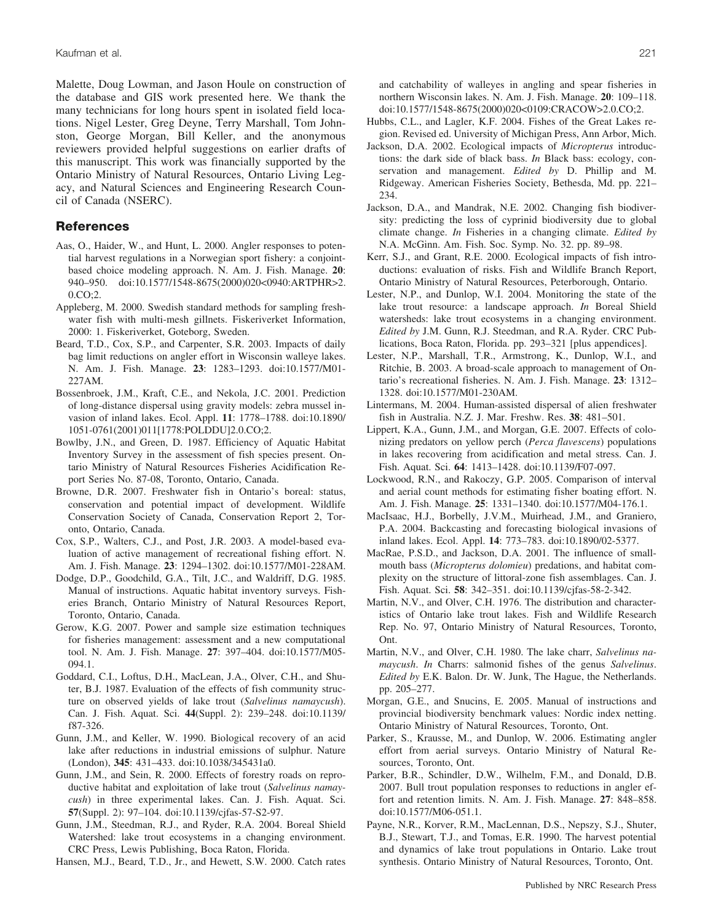Malette, Doug Lowman, and Jason Houle on construction of the database and GIS work presented here. We thank the many technicians for long hours spent in isolated field locations. Nigel Lester, Greg Deyne, Terry Marshall, Tom Johnston, George Morgan, Bill Keller, and the anonymous reviewers provided helpful suggestions on earlier drafts of this manuscript. This work was financially supported by the Ontario Ministry of Natural Resources, Ontario Living Legacy, and Natural Sciences and Engineering Research Council of Canada (NSERC).

#### **References**

- Aas, O., Haider, W., and Hunt, L. 2000. Angler responses to potential harvest regulations in a Norwegian sport fishery: a conjointbased choice modeling approach. N. Am. J. Fish. Manage. **20**: 940–950. doi:10.1577/1548-8675(2000)020<0940:ARTPHR>2. 0.CO;2.
- Appleberg, M. 2000. Swedish standard methods for sampling freshwater fish with multi-mesh gillnets. Fiskeriverket Information, 2000: 1. Fiskeriverket, Goteborg, Sweden.
- Beard, T.D., Cox, S.P., and Carpenter, S.R. 2003. Impacts of daily bag limit reductions on angler effort in Wisconsin walleye lakes. N. Am. J. Fish. Manage. **23**: 1283–1293. doi:10.1577/M01- 227AM.
- Bossenbroek, J.M., Kraft, C.E., and Nekola, J.C. 2001. Prediction of long-distance dispersal using gravity models: zebra mussel invasion of inland lakes. Ecol. Appl. **11**: 1778–1788. doi:10.1890/ 1051-0761(2001)011[1778:POLDDU]2.0.CO;2.
- Bowlby, J.N., and Green, D. 1987. Efficiency of Aquatic Habitat Inventory Survey in the assessment of fish species present. Ontario Ministry of Natural Resources Fisheries Acidification Report Series No. 87-08, Toronto, Ontario, Canada.
- Browne, D.R. 2007. Freshwater fish in Ontario's boreal: status, conservation and potential impact of development. Wildlife Conservation Society of Canada, Conservation Report 2, Toronto, Ontario, Canada.
- Cox, S.P., Walters, C.J., and Post, J.R. 2003. A model-based evaluation of active management of recreational fishing effort. N. Am. J. Fish. Manage. **23**: 1294–1302. doi:10.1577/M01-228AM.
- Dodge, D.P., Goodchild, G.A., Tilt, J.C., and Waldriff, D.G. 1985. Manual of instructions. Aquatic habitat inventory surveys. Fisheries Branch, Ontario Ministry of Natural Resources Report, Toronto, Ontario, Canada.
- Gerow, K.G. 2007. Power and sample size estimation techniques for fisheries management: assessment and a new computational tool. N. Am. J. Fish. Manage. **27**: 397–404. doi:10.1577/M05- 094.1.
- Goddard, C.I., Loftus, D.H., MacLean, J.A., Olver, C.H., and Shuter, B.J. 1987. Evaluation of the effects of fish community structure on observed yields of lake trout (*Salvelinus namaycush*). Can. J. Fish. Aquat. Sci. **44**(Suppl. 2): 239–248. doi:10.1139/ f87-326.
- Gunn, J.M., and Keller, W. 1990. Biological recovery of an acid lake after reductions in industrial emissions of sulphur. Nature (London), **345**: 431–433. doi:10.1038/345431a0.
- Gunn, J.M., and Sein, R. 2000. Effects of forestry roads on reproductive habitat and exploitation of lake trout (*Salvelinus namaycush*) in three experimental lakes. Can. J. Fish. Aquat. Sci. **57**(Suppl. 2): 97–104. doi:10.1139/cjfas-57-S2-97.
- Gunn, J.M., Steedman, R.J., and Ryder, R.A. 2004. Boreal Shield Watershed: lake trout ecosystems in a changing environment. CRC Press, Lewis Publishing, Boca Raton, Florida.

Hansen, M.J., Beard, T.D., Jr., and Hewett, S.W. 2000. Catch rates

and catchability of walleyes in angling and spear fisheries in northern Wisconsin lakes. N. Am. J. Fish. Manage. **20**: 109–118. doi:10.1577/1548-8675(2000)020<0109:CRACOW>2.0.CO;2.

- Hubbs, C.L., and Lagler, K.F. 2004. Fishes of the Great Lakes region. Revised ed. University of Michigan Press, Ann Arbor, Mich.
- Jackson, D.A. 2002. Ecological impacts of *Micropterus* introductions: the dark side of black bass. *In* Black bass: ecology, conservation and management. *Edited by* D. Phillip and M. Ridgeway. American Fisheries Society, Bethesda, Md. pp. 221– 234.
- Jackson, D.A., and Mandrak, N.E. 2002. Changing fish biodiversity: predicting the loss of cyprinid biodiversity due to global climate change. *In* Fisheries in a changing climate. *Edited by* N.A. McGinn. Am. Fish. Soc. Symp. No. 32. pp. 89–98.
- Kerr, S.J., and Grant, R.E. 2000. Ecological impacts of fish introductions: evaluation of risks. Fish and Wildlife Branch Report, Ontario Ministry of Natural Resources, Peterborough, Ontario.
- Lester, N.P., and Dunlop, W.I. 2004. Monitoring the state of the lake trout resource: a landscape approach. *In* Boreal Shield watersheds: lake trout ecosystems in a changing environment. *Edited by* J.M. Gunn, R.J. Steedman, and R.A. Ryder. CRC Publications, Boca Raton, Florida. pp. 293–321 [plus appendices].
- Lester, N.P., Marshall, T.R., Armstrong, K., Dunlop, W.I., and Ritchie, B. 2003. A broad-scale approach to management of Ontario's recreational fisheries. N. Am. J. Fish. Manage. **23**: 1312– 1328. doi:10.1577/M01-230AM.
- Lintermans, M. 2004. Human-assisted dispersal of alien freshwater fish in Australia. N.Z. J. Mar. Freshw. Res. **38**: 481–501.
- Lippert, K.A., Gunn, J.M., and Morgan, G.E. 2007. Effects of colonizing predators on yellow perch (*Perca flavescens*) populations in lakes recovering from acidification and metal stress. Can. J. Fish. Aquat. Sci. **64**: 1413–1428. doi:10.1139/F07-097.
- Lockwood, R.N., and Rakoczy, G.P. 2005. Comparison of interval and aerial count methods for estimating fisher boating effort. N. Am. J. Fish. Manage. **25**: 1331–1340. doi:10.1577/M04-176.1.
- MacIsaac, H.J., Borbelly, J.V.M., Muirhead, J.M., and Graniero, P.A. 2004. Backcasting and forecasting biological invasions of inland lakes. Ecol. Appl. **14**: 773–783. doi:10.1890/02-5377.
- MacRae, P.S.D., and Jackson, D.A. 2001. The influence of smallmouth bass (*Micropterus dolomieu*) predations, and habitat complexity on the structure of littoral-zone fish assemblages. Can. J. Fish. Aquat. Sci. **58**: 342–351. doi:10.1139/cjfas-58-2-342.
- Martin, N.V., and Olver, C.H. 1976. The distribution and characteristics of Ontario lake trout lakes. Fish and Wildlife Research Rep. No. 97, Ontario Ministry of Natural Resources, Toronto, Ont.
- Martin, N.V., and Olver, C.H. 1980. The lake charr, *Salvelinus namaycush*. *In* Charrs: salmonid fishes of the genus *Salvelinus*. *Edited by* E.K. Balon. Dr. W. Junk, The Hague, the Netherlands. pp. 205–277.
- Morgan, G.E., and Snucins, E. 2005. Manual of instructions and provincial biodiversity benchmark values: Nordic index netting. Ontario Ministry of Natural Resources, Toronto, Ont.
- Parker, S., Krausse, M., and Dunlop, W. 2006. Estimating angler effort from aerial surveys. Ontario Ministry of Natural Resources, Toronto, Ont.
- Parker, B.R., Schindler, D.W., Wilhelm, F.M., and Donald, D.B. 2007. Bull trout population responses to reductions in angler effort and retention limits. N. Am. J. Fish. Manage. **27**: 848–858. doi:10.1577/M06-051.1.
- Payne, N.R., Korver, R.M., MacLennan, D.S., Nepszy, S.J., Shuter, B.J., Stewart, T.J., and Tomas, E.R. 1990. The harvest potential and dynamics of lake trout populations in Ontario. Lake trout synthesis. Ontario Ministry of Natural Resources, Toronto, Ont.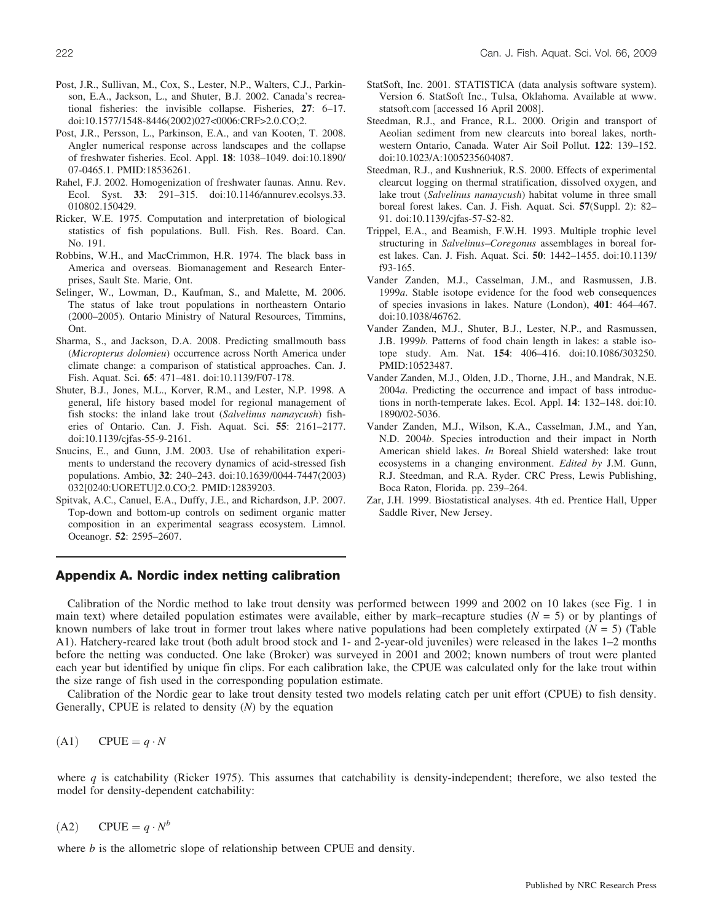- Post, J.R., Sullivan, M., Cox, S., Lester, N.P., Walters, C.J., Parkinson, E.A., Jackson, L., and Shuter, B.J. 2002. Canada's recreational fisheries: the invisible collapse. Fisheries, **27**: 6–17. doi:10.1577/1548-8446(2002)027<0006:CRF>2.0.CO;2.
- Post, J.R., Persson, L., Parkinson, E.A., and van Kooten, T. 2008. Angler numerical response across landscapes and the collapse of freshwater fisheries. Ecol. Appl. **18**: 1038–1049. doi:10.1890/ 07-0465.1. PMID:18536261.
- Rahel, F.J. 2002. Homogenization of freshwater faunas. Annu. Rev. Ecol. Syst. **33**: 291–315. doi:10.1146/annurev.ecolsys.33. 010802.150429.
- Ricker, W.E. 1975. Computation and interpretation of biological statistics of fish populations. Bull. Fish. Res. Board. Can. No. 191.
- Robbins, W.H., and MacCrimmon, H.R. 1974. The black bass in America and overseas. Biomanagement and Research Enterprises, Sault Ste. Marie, Ont.
- Selinger, W., Lowman, D., Kaufman, S., and Malette, M. 2006. The status of lake trout populations in northeastern Ontario (2000–2005). Ontario Ministry of Natural Resources, Timmins, Ont.
- Sharma, S., and Jackson, D.A. 2008. Predicting smallmouth bass (*Micropterus dolomieu*) occurrence across North America under climate change: a comparison of statistical approaches. Can. J. Fish. Aquat. Sci. **65**: 471–481. doi:10.1139/F07-178.
- Shuter, B.J., Jones, M.L., Korver, R.M., and Lester, N.P. 1998. A general, life history based model for regional management of fish stocks: the inland lake trout (*Salvelinus namaycush*) fisheries of Ontario. Can. J. Fish. Aquat. Sci. **55**: 2161–2177. doi:10.1139/cjfas-55-9-2161.
- Snucins, E., and Gunn, J.M. 2003. Use of rehabilitation experiments to understand the recovery dynamics of acid-stressed fish populations. Ambio, **32**: 240–243. doi:10.1639/0044-7447(2003) 032[0240:UORETU]2.0.CO;2. PMID:12839203.
- Spitvak, A.C., Canuel, E.A., Duffy, J.E., and Richardson, J.P. 2007. Top-down and bottom-up controls on sediment organic matter composition in an experimental seagrass ecosystem. Limnol. Oceanogr. **52**: 2595–2607.
- StatSoft, Inc. 2001. STATISTICA (data analysis software system). Version 6. StatSoft Inc., Tulsa, Oklahoma. Available at www. statsoft.com [accessed 16 April 2008].
- Steedman, R.J., and France, R.L. 2000. Origin and transport of Aeolian sediment from new clearcuts into boreal lakes, northwestern Ontario, Canada. Water Air Soil Pollut. **122**: 139–152. doi:10.1023/A:1005235604087.
- Steedman, R.J., and Kushneriuk, R.S. 2000. Effects of experimental clearcut logging on thermal stratification, dissolved oxygen, and lake trout (*Salvelinus namaycush*) habitat volume in three small boreal forest lakes. Can. J. Fish. Aquat. Sci. **57**(Suppl. 2): 82– 91. doi:10.1139/cjfas-57-S2-82.
- Trippel, E.A., and Beamish, F.W.H. 1993. Multiple trophic level structuring in *Salvelinus*–*Coregonus* assemblages in boreal forest lakes. Can. J. Fish. Aquat. Sci. **50**: 1442–1455. doi:10.1139/ f93-165.
- Vander Zanden, M.J., Casselman, J.M., and Rasmussen, J.B. 1999*a*. Stable isotope evidence for the food web consequences of species invasions in lakes. Nature (London), **401**: 464–467. doi:10.1038/46762.
- Vander Zanden, M.J., Shuter, B.J., Lester, N.P., and Rasmussen, J.B. 1999*b*. Patterns of food chain length in lakes: a stable isotope study. Am. Nat. **154**: 406–416. doi:10.1086/303250. PMID:10523487.
- Vander Zanden, M.J., Olden, J.D., Thorne, J.H., and Mandrak, N.E. 2004*a*. Predicting the occurrence and impact of bass introductions in north-temperate lakes. Ecol. Appl. **14**: 132–148. doi:10. 1890/02-5036.
- Vander Zanden, M.J., Wilson, K.A., Casselman, J.M., and Yan, N.D. 2004*b*. Species introduction and their impact in North American shield lakes. *In* Boreal Shield watershed: lake trout ecosystems in a changing environment. *Edited by* J.M. Gunn, R.J. Steedman, and R.A. Ryder. CRC Press, Lewis Publishing, Boca Raton, Florida. pp. 239–264.
- Zar, J.H. 1999. Biostatistical analyses. 4th ed. Prentice Hall, Upper Saddle River, New Jersey.

# **Appendix A. Nordic index netting calibration**

Calibration of the Nordic method to lake trout density was performed between 1999 and 2002 on 10 lakes (see Fig. 1 in main text) where detailed population estimates were available, either by mark–recapture studies (*N* = 5) or by plantings of known numbers of lake trout in former trout lakes where native populations had been completely extirpated (*N* = 5) (Table A1). Hatchery-reared lake trout (both adult brood stock and 1- and 2-year-old juveniles) were released in the lakes 1–2 months before the netting was conducted. One lake (Broker) was surveyed in 2001 and 2002; known numbers of trout were planted each year but identified by unique fin clips. For each calibration lake, the CPUE was calculated only for the lake trout within the size range of fish used in the corresponding population estimate.

Calibration of the Nordic gear to lake trout density tested two models relating catch per unit effort (CPUE) to fish density. Generally, CPUE is related to density (*N*) by the equation

$$
(A1) \qquad \text{CPUE} = q \cdot N
$$

where *q* is catchability (Ricker 1975). This assumes that catchability is density-independent; therefore, we also tested the model for density-dependent catchability:

(A2) CPUE =  $q \cdot N^b$ 

where *b* is the allometric slope of relationship between CPUE and density.